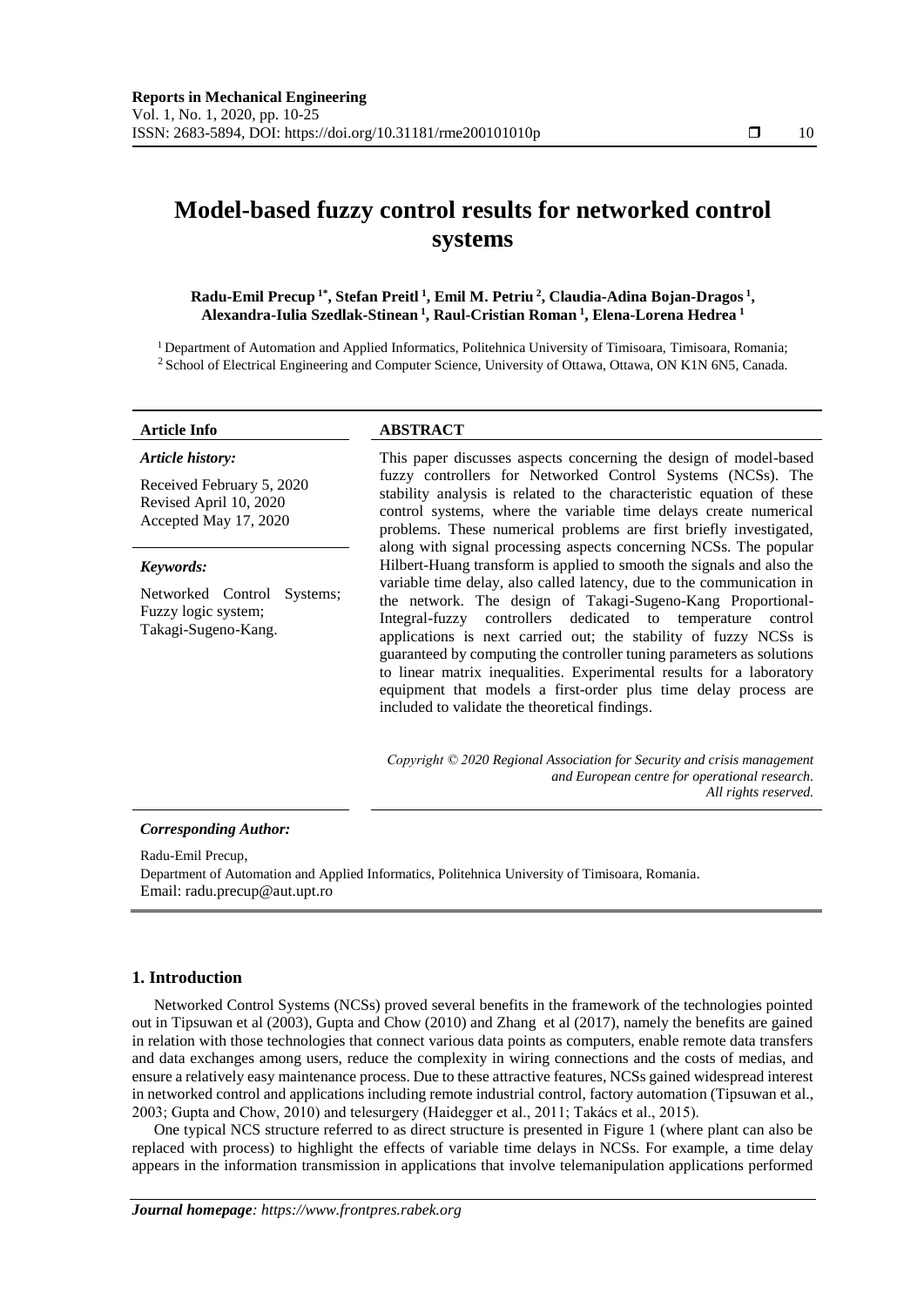# **Model-based fuzzy control results for networked control systems**

**Radu-Emil Precup 1\*, Stefan Preitl <sup>1</sup> , Emil M. Petriu <sup>2</sup> , Claudia-Adina Bojan-Dragos <sup>1</sup> , Alexandra-Iulia Szedlak-Stinean <sup>1</sup> , Raul-Cristian Roman <sup>1</sup> , Elena-Lorena Hedrea <sup>1</sup>**

<sup>1</sup> Department of Automation and Applied Informatics, Politehnica University of Timisoara, Timisoara, Romania; <sup>2</sup> School of Electrical Engineering and Computer Science, University of Ottawa, Ottawa, ON K1N 6N5, Canada.

#### *Article history:*

Received February 5, 2020 Revised April 10, 2020 Accepted May 17, 2020

#### *Keywords:*

Networked Control Systems; Fuzzy logic system; Takagi-Sugeno-Kang.

### **Article Info ABSTRACT**

This paper discusses aspects concerning the design of model-based fuzzy controllers for Networked Control Systems (NCSs). The stability analysis is related to the characteristic equation of these control systems, where the variable time delays create numerical problems. These numerical problems are first briefly investigated, along with signal processing aspects concerning NCSs. The popular Hilbert-Huang transform is applied to smooth the signals and also the variable time delay, also called latency, due to the communication in the network. The design of Takagi-Sugeno-Kang Proportional-Integral-fuzzy controllers dedicated to temperature control applications is next carried out; the stability of fuzzy NCSs is guaranteed by computing the controller tuning parameters as solutions to linear matrix inequalities. Experimental results for a laboratory equipment that models a first-order plus time delay process are included to validate the theoretical findings.

*Copyright © 2020 Regional Association for Security and crisis management and European centre for operational research. All rights reserved.*

#### *Corresponding Author:*

Radu-Emil Precup,

Department of Automation and Applied Informatics, Politehnica University of Timisoara, Romania. Email[: radu.precup@aut.upt.ro](mailto:radu.precup@aut.upt.ro)

## **1. Introduction**

Networked Control Systems (NCSs) proved several benefits in the framework of the technologies pointed out in Tipsuwan et al (2003), Gupta and Chow (2010) and Zhang et al (2017), namely the benefits are gained in relation with those technologies that connect various data points as computers, enable remote data transfers and data exchanges among users, reduce the complexity in wiring connections and the costs of medias, and ensure a relatively easy maintenance process. Due to these attractive features, NCSs gained widespread interest in networked control and applications including remote industrial control, factory automation (Tipsuwan et al., 2003; Gupta and Chow, 2010) and telesurgery (Haidegger et al., 2011; Takács et al., 2015).

One typical NCS structure referred to as direct structure is presented in Figure 1 (where plant can also be replaced with process) to highlight the effects of variable time delays in NCSs. For example, a time delay appears in the information transmission in applications that involve telemanipulation applications performed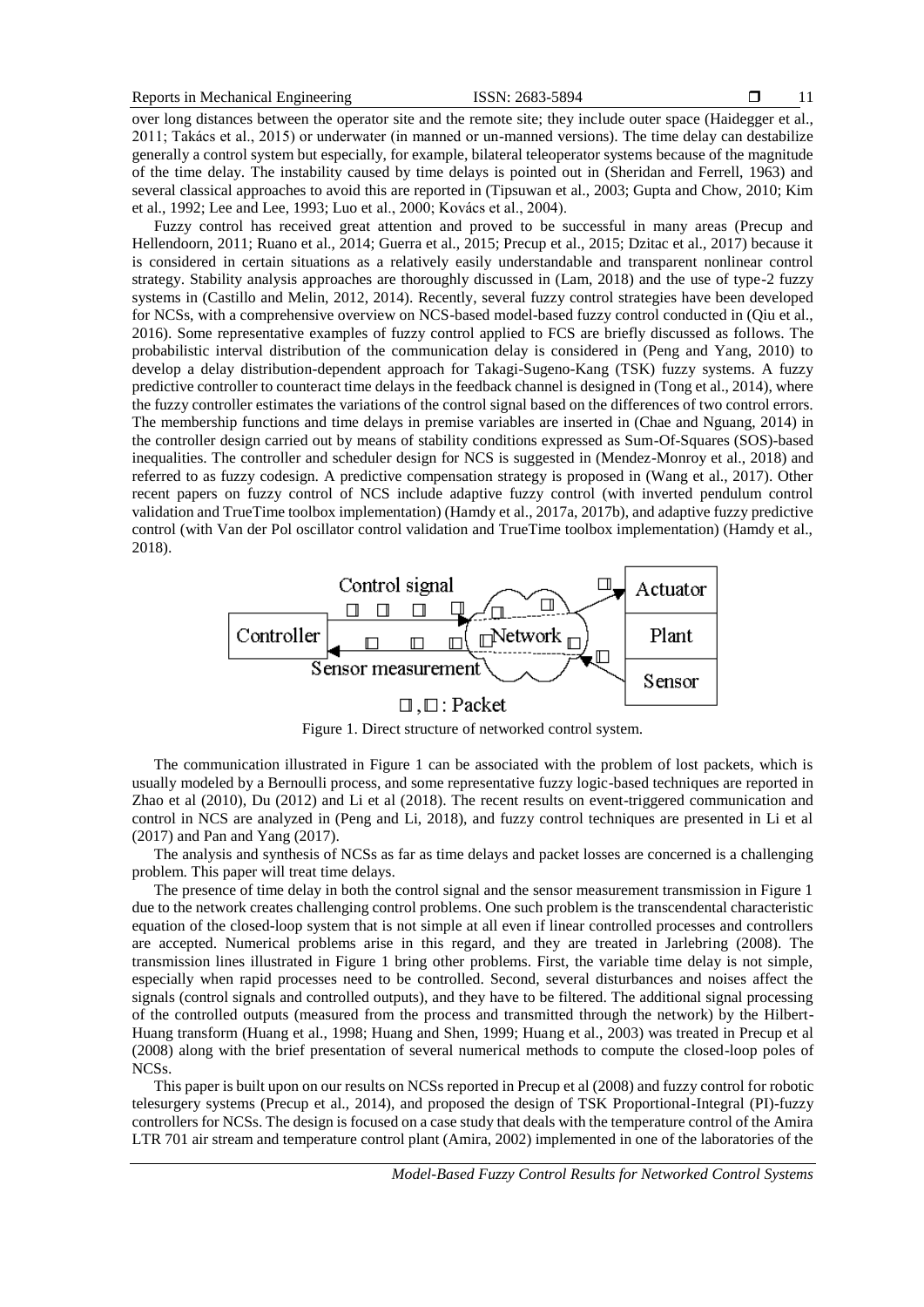over long distances between the operator site and the remote site; they include outer space (Haidegger et al., 2011; Takács et al., 2015) or underwater (in manned or un-manned versions). The time delay can destabilize generally a control system but especially, for example, bilateral teleoperator systems because of the magnitude of the time delay. The instability caused by time delays is pointed out in (Sheridan and Ferrell, 1963) and several classical approaches to avoid this are reported in (Tipsuwan et al., 2003; Gupta and Chow, 2010; Kim et al., 1992; Lee and Lee, 1993; Luo et al., 2000; Kovács et al., 2004).

Fuzzy control has received great attention and proved to be successful in many areas (Precup and Hellendoorn, 2011; Ruano et al., 2014; Guerra et al., 2015; Precup et al., 2015; Dzitac et al., 2017) because it is considered in certain situations as a relatively easily understandable and transparent nonlinear control strategy. Stability analysis approaches are thoroughly discussed in (Lam, 2018) and the use of type-2 fuzzy systems in (Castillo and Melin, 2012, 2014). Recently, several fuzzy control strategies have been developed for NCSs, with a comprehensive overview on NCS-based model-based fuzzy control conducted in (Qiu et al., 2016). Some representative examples of fuzzy control applied to FCS are briefly discussed as follows. The probabilistic interval distribution of the communication delay is considered in (Peng and Yang, 2010) to develop a delay distribution-dependent approach for Takagi-Sugeno-Kang (TSK) fuzzy systems. A fuzzy predictive controller to counteract time delays in the feedback channel is designed in (Tong et al., 2014), where the fuzzy controller estimates the variations of the control signal based on the differences of two control errors. The membership functions and time delays in premise variables are inserted in (Chae and Nguang, 2014) in the controller design carried out by means of stability conditions expressed as Sum-Of-Squares (SOS)-based inequalities. The controller and scheduler design for NCS is suggested in (Mendez-Monroy et al., 2018) and referred to as fuzzy codesign. A predictive compensation strategy is proposed in (Wang et al., 2017). Other recent papers on fuzzy control of NCS include adaptive fuzzy control (with inverted pendulum control validation and TrueTime toolbox implementation) (Hamdy et al., 2017a, 2017b), and adaptive fuzzy predictive control (with Van der Pol oscillator control validation and TrueTime toolbox implementation) (Hamdy et al., 2018).



Figure 1. Direct structure of networked control system.

The communication illustrated in Figure 1 can be associated with the problem of lost packets, which is usually modeled by a Bernoulli process, and some representative fuzzy logic-based techniques are reported in Zhao et al (2010), Du (2012) and Li et al (2018). The recent results on event-triggered communication and control in NCS are analyzed in (Peng and Li, 2018), and fuzzy control techniques are presented in Li et al (2017) and Pan and Yang (2017).

The analysis and synthesis of NCSs as far as time delays and packet losses are concerned is a challenging problem. This paper will treat time delays.

The presence of time delay in both the control signal and the sensor measurement transmission in Figure 1 due to the network creates challenging control problems. One such problem is the transcendental characteristic equation of the closed-loop system that is not simple at all even if linear controlled processes and controllers are accepted. Numerical problems arise in this regard, and they are treated in Jarlebring (2008). The transmission lines illustrated in Figure 1 bring other problems. First, the variable time delay is not simple, especially when rapid processes need to be controlled. Second, several disturbances and noises affect the signals (control signals and controlled outputs), and they have to be filtered. The additional signal processing of the controlled outputs (measured from the process and transmitted through the network) by the Hilbert-Huang transform (Huang et al., 1998; Huang and Shen, 1999; Huang et al., 2003) was treated in Precup et al (2008) along with the brief presentation of several numerical methods to compute the closed-loop poles of NCSs.

This paper is built upon on our results on NCSs reported in Precup et al (2008) and fuzzy control for robotic telesurgery systems (Precup et al., 2014), and proposed the design of TSK Proportional-Integral (PI)-fuzzy controllers for NCSs. The design is focused on a case study that deals with the temperature control of the Amira LTR 701 air stream and temperature control plant (Amira, 2002) implemented in one of the laboratories of the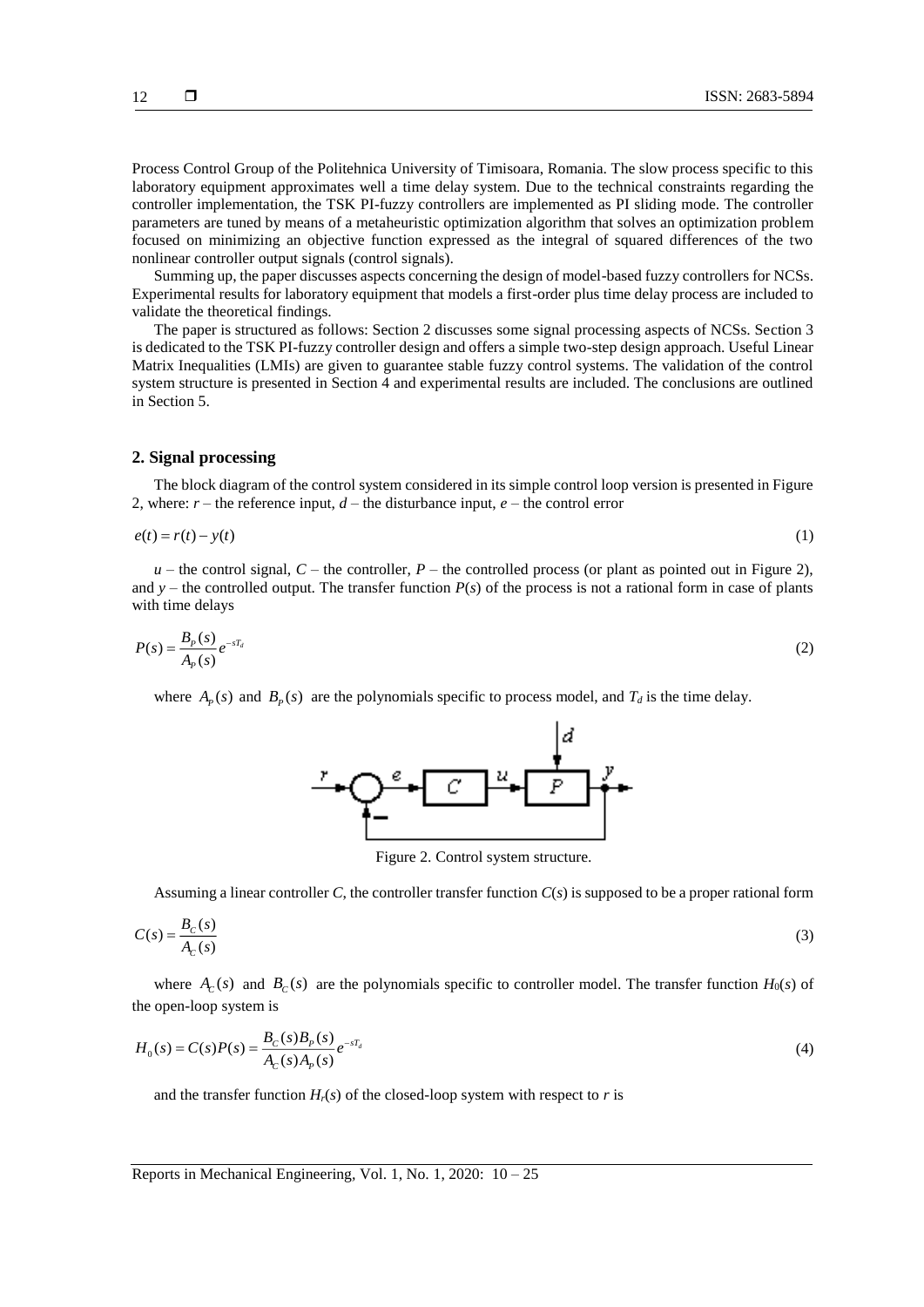Process Control Group of the Politehnica University of Timisoara, Romania. The slow process specific to this laboratory equipment approximates well a time delay system. Due to the technical constraints regarding the controller implementation, the TSK PI-fuzzy controllers are implemented as PI sliding mode. The controller parameters are tuned by means of a metaheuristic optimization algorithm that solves an optimization problem focused on minimizing an objective function expressed as the integral of squared differences of the two nonlinear controller output signals (control signals).

Summing up, the paper discusses aspects concerning the design of model-based fuzzy controllers for NCSs. Experimental results for laboratory equipment that models a first-order plus time delay process are included to validate the theoretical findings.

The paper is structured as follows: Section 2 discusses some signal processing aspects of NCSs. Section 3 is dedicated to the TSK PI-fuzzy controller design and offers a simple two-step design approach. Useful Linear Matrix Inequalities (LMIs) are given to guarantee stable fuzzy control systems. The validation of the control system structure is presented in Section 4 and experimental results are included. The conclusions are outlined in Section 5.

#### **2. Signal processing**

The block diagram of the control system considered in its simple control loop version is presented in Figure 2, where:  $r$  – the reference input,  $d$  – the disturbance input,  $e$  – the control error

$$
e(t) = r(t) - y(t) \tag{1}
$$

 $u$  – the control signal,  $C$  – the controller,  $P$  – the controlled process (or plant as pointed out in Figure 2), and  $y$  – the controlled output. The transfer function  $P(s)$  of the process is not a rational form in case of plants with time delays

$$
P(s) = \frac{B_P(s)}{A_P(s)} e^{-sT_d}
$$
\n<sup>(2)</sup>

where  $A_p(s)$  and  $B_p(s)$  are the polynomials specific to process model, and  $T_d$  is the time delay.



Figure 2. Control system structure.

Assuming a linear controller *C*, the controller transfer function *C*(*s*) is supposed to be a proper rational form

$$
C(s) = \frac{B_c(s)}{A_c(s)}\tag{3}
$$

where  $A_c(s)$  and  $B_c(s)$  are the polynomials specific to controller model. The transfer function  $H_0(s)$  of the open-loop system is

$$
H_0(s) = C(s)P(s) = \frac{B_C(s)B_P(s)}{A_C(s)A_P(s)}e^{-sT_d}
$$
\n(4)

and the transfer function  $H_r(s)$  of the closed-loop system with respect to *r* is

Reports in Mechanical Engineering*,* Vol. 1, No. 1, 2020: 10 – 25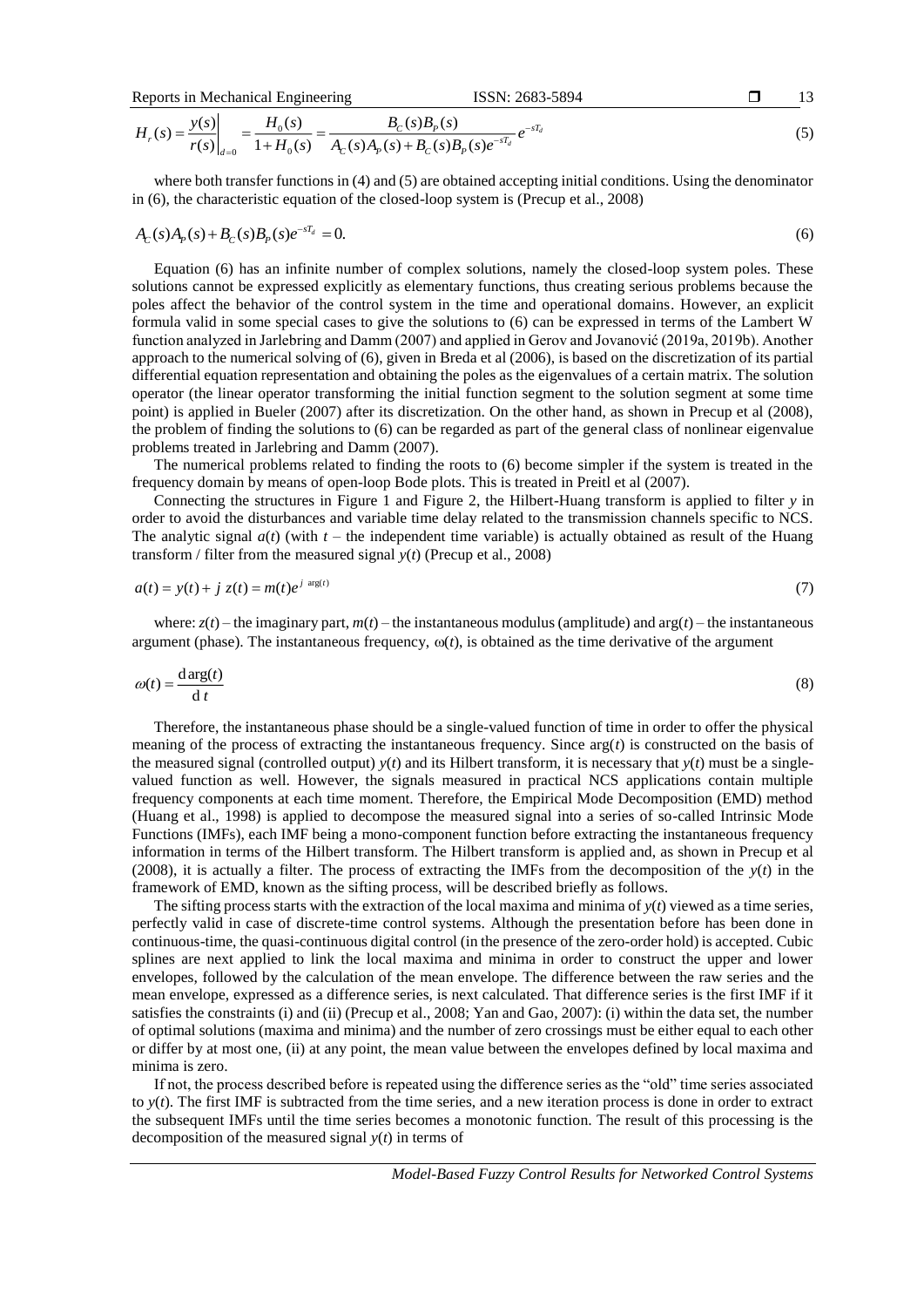Reports in Mechanical Engineering

\n

| 13     | 13       |                |             |
|--------|----------|----------------|-------------|
| $y(s)$ | $H_o(s)$ | $B_c(s)B_o(s)$ | $-\epsilon$ |

$$
H_r(s) = \frac{y(s)}{r(s)}\bigg|_{d=0} = \frac{H_0(s)}{1 + H_0(s)} = \frac{B_c(s)B_p(s)}{A_c(s)A_p(s) + B_c(s)B_p(s)e^{-sT_d}}e^{-sT_d}
$$
(5)

where both transfer functions in (4) and (5) are obtained accepting initial conditions. Using the denominator in (6), the characteristic equation of the closed-loop system is (Precup et al., 2008)

$$
A_C(s)A_P(s) + B_C(s)B_P(s)e^{-sT_d} = 0.
$$
\n(6)

Equation (6) has an infinite number of complex solutions, namely the closed-loop system poles. These solutions cannot be expressed explicitly as elementary functions, thus creating serious problems because the poles affect the behavior of the control system in the time and operational domains. However, an explicit formula valid in some special cases to give the solutions to (6) can be expressed in terms of the Lambert W function analyzed in Jarlebring and Damm (2007) and applied in Gerov and Jovanović (2019a, 2019b). Another approach to the numerical solving of (6), given in Breda et al (2006), is based on the discretization of its partial differential equation representation and obtaining the poles as the eigenvalues of a certain matrix. The solution operator (the linear operator transforming the initial function segment to the solution segment at some time point) is applied in Bueler (2007) after its discretization. On the other hand, as shown in Precup et al (2008), the problem of finding the solutions to (6) can be regarded as part of the general class of nonlinear eigenvalue problems treated in Jarlebring and Damm (2007).

The numerical problems related to finding the roots to (6) become simpler if the system is treated in the frequency domain by means of open-loop Bode plots. This is treated in Preitl et al (2007).

Connecting the structures in Figure 1 and Figure 2, the Hilbert-Huang transform is applied to filter *y* in order to avoid the disturbances and variable time delay related to the transmission channels specific to NCS. The analytic signal  $a(t)$  (with  $t$  – the independent time variable) is actually obtained as result of the Huang transform / filter from the measured signal *y*(*t*) (Precup et al., 2008)

$$
a(t) = y(t) + j z(t) = m(t)e^{j \arg(t)}
$$
\n(7)

where:  $z(t)$  – the imaginary part,  $m(t)$  – the instantaneous modulus (amplitude) and  $arg(t)$  – the instantaneous argument (phase). The instantaneous frequency,  $\omega(t)$ , is obtained as the time derivative of the argument

$$
\omega(t) = \frac{\text{d}\arg(t)}{\text{d}t} \tag{8}
$$

Therefore, the instantaneous phase should be a single-valued function of time in order to offer the physical meaning of the process of extracting the instantaneous frequency. Since arg(*t*) is constructed on the basis of the measured signal (controlled output)  $y(t)$  and its Hilbert transform, it is necessary that  $y(t)$  must be a singlevalued function as well. However, the signals measured in practical NCS applications contain multiple frequency components at each time moment. Therefore, the Empirical Mode Decomposition (EMD) method (Huang et al., 1998) is applied to decompose the measured signal into a series of so-called Intrinsic Mode Functions (IMFs), each IMF being a mono-component function before extracting the instantaneous frequency information in terms of the Hilbert transform. The Hilbert transform is applied and, as shown in Precup et al (2008), it is actually a filter. The process of extracting the IMFs from the decomposition of the  $y(t)$  in the framework of EMD, known as the sifting process, will be described briefly as follows.

The sifting process starts with the extraction of the local maxima and minima of  $y(t)$  viewed as a time series, perfectly valid in case of discrete-time control systems. Although the presentation before has been done in continuous-time, the quasi-continuous digital control (in the presence of the zero-order hold) is accepted. Cubic splines are next applied to link the local maxima and minima in order to construct the upper and lower envelopes, followed by the calculation of the mean envelope. The difference between the raw series and the mean envelope, expressed as a difference series, is next calculated. That difference series is the first IMF if it satisfies the constraints (i) and (ii) (Precup et al., 2008; Yan and Gao, 2007): (i) within the data set, the number of optimal solutions (maxima and minima) and the number of zero crossings must be either equal to each other or differ by at most one, (ii) at any point, the mean value between the envelopes defined by local maxima and minima is zero.

If not, the process described before is repeated using the difference series as the "old" time series associated to *y*(*t*). The first IMF is subtracted from the time series, and a new iteration process is done in order to extract the subsequent IMFs until the time series becomes a monotonic function. The result of this processing is the decomposition of the measured signal  $y(t)$  in terms of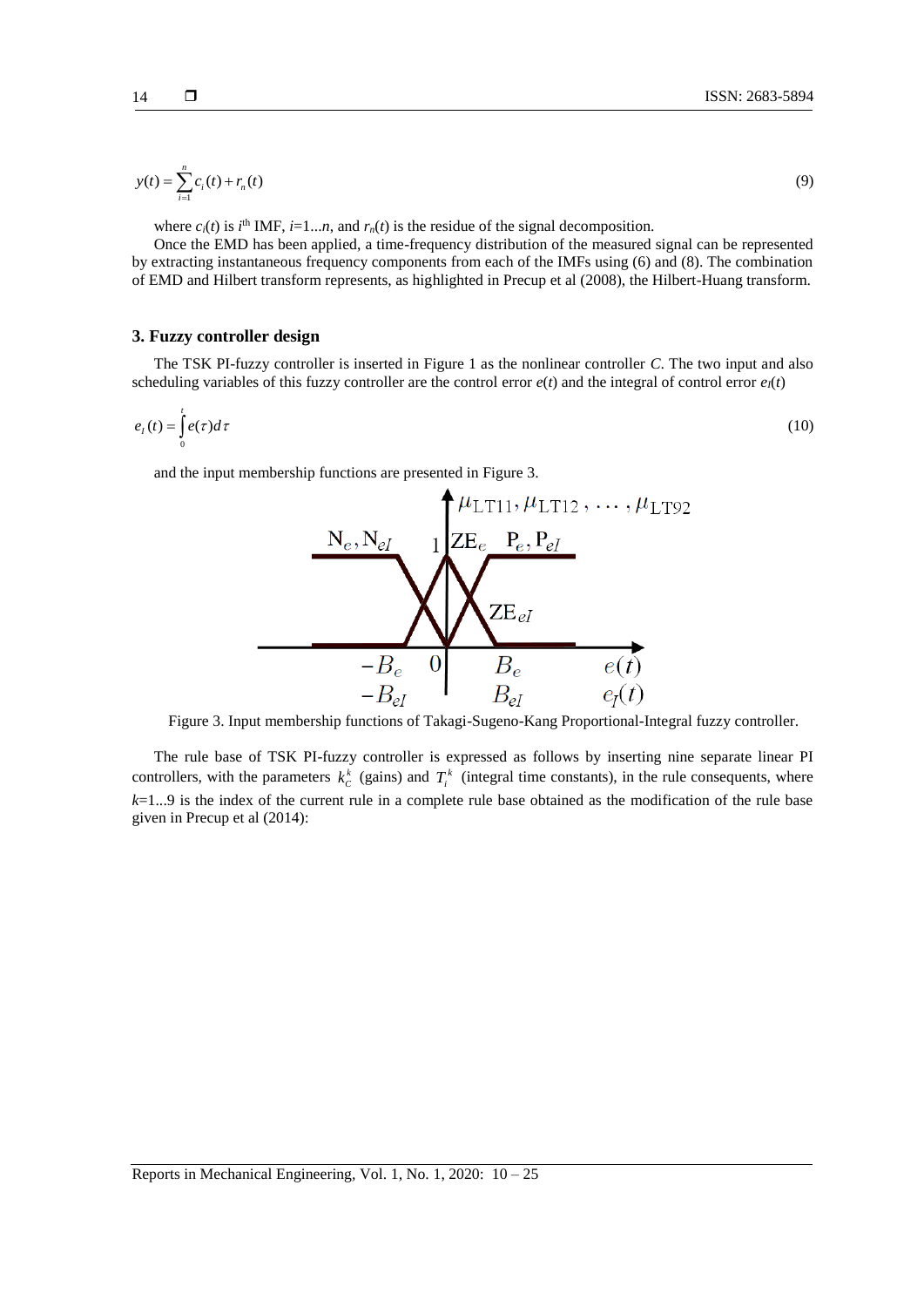$$
y(t) = \sum_{i=1}^{n} c_i(t) + r_n(t)
$$
\n(9)

where  $c_i(t)$  is  $i^{\text{th}}$  IMF,  $i=1...n$ , and  $r_n(t)$  is the residue of the signal decomposition.

Once the EMD has been applied, a time-frequency distribution of the measured signal can be represented by extracting instantaneous frequency components from each of the IMFs using (6) and (8). The combination of EMD and Hilbert transform represents, as highlighted in Precup et al (2008), the Hilbert-Huang transform.

# **3. Fuzzy controller design**

The TSK PI-fuzzy controller is inserted in Figure 1 as the nonlinear controller *C*. The two input and also scheduling variables of this fuzzy controller are the control error  $e(t)$  and the integral of control error  $e_I(t)$ 

$$
e_{I}(t) = \int_{0}^{t} e(\tau)d\tau
$$
\n(10)

and the input membership functions are presented in Figure 3.



Figure 3. Input membership functions of Takagi-Sugeno-Kang Proportional-Integral fuzzy controller.

The rule base of TSK PI-fuzzy controller is expressed as follows by inserting nine separate linear PI controllers, with the parameters  $k_c^k$  (gains) and  $T_i^k$  (integral time constants), in the rule consequents, where *k*=1...9 is the index of the current rule in a complete rule base obtained as the modification of the rule base given in Precup et al (2014):

(9)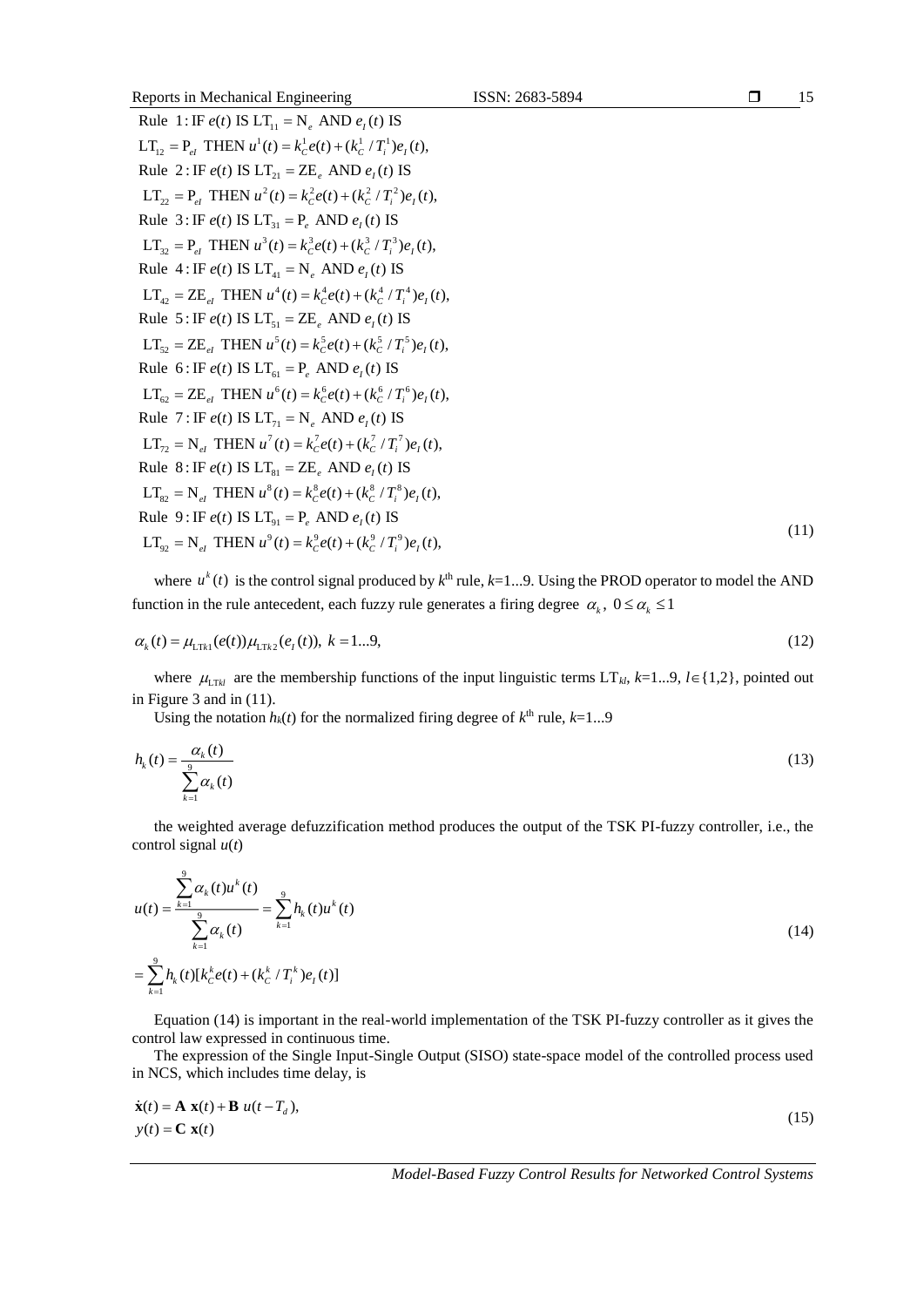| Reports in Mechanical Engineering                                                         | ISSN: 2683-5894 | $\Box$ | 15   |
|-------------------------------------------------------------------------------------------|-----------------|--------|------|
| Rule 1: IF $e(t)$ IS $LT_{11} = N_a$ AND $e_t(t)$ IS                                      |                 |        |      |
| $LT_{12} = P_{el}$ THEN $u^1(t) = k_c^1 e(t) + (k_c^1/T_i^1) e_t(t)$ ,                    |                 |        |      |
| Rule 2: IF $e(t)$ IS $LT_{21} = ZE_a$ AND $e_t(t)$ IS                                     |                 |        |      |
| $LT_{22} = P_{el}$ THEN $u^2(t) = k_c^2 e(t) + (k_c^2/T_i^2)e_t(t)$ ,                     |                 |        |      |
| Rule 3: IF $e(t)$ IS $LT_{31} = P_e$ AND $e_1(t)$ IS                                      |                 |        |      |
| $LT_{22} = P_{d}$ THEN $u^{3}(t) = k_{c}^{3}e(t) + (k_{c}^{3}/T_{i}^{3})e_{i}(t)$ ,       |                 |        |      |
| Rule 4: IF $e(t)$ IS $LT_{41} = N_a$ AND $e_t(t)$ IS                                      |                 |        |      |
| $LT_{42} = ZE_{el}$ THEN $u^4(t) = k_c^4 e(t) + (k_c^4 / T_i^4) e_t(t)$ ,                 |                 |        |      |
| Rule 5: IF $e(t)$ IS $LT_{51} = ZE_a$ AND $e_t(t)$ IS                                     |                 |        |      |
| $LT_{52} = ZE_{at}$ THEN $u^5(t) = k_c^5 e(t) + (k_c^5 / T_i^5) e_t(t)$ ,                 |                 |        |      |
| Rule 6: IF $e(t)$ IS $LT_{61} = P_{e}$ AND $e_{1}(t)$ IS                                  |                 |        |      |
| $LT_{\epsilon_2} = ZE_{at}$ THEN $u^6(t) = k_c^6 e(t) + (k_c^6 / T_i^6) e_t(t)$ ,         |                 |        |      |
| Rule 7: IF $e(t)$ IS $LT_{71} = N_a$ AND $e_t(t)$ IS                                      |                 |        |      |
| $LT_{72} = N_{el}$ THEN $u^{7}(t) = k_{c}^{7}e(t) + (k_{c}^{7}/T_{i}^{7})e_{i}(t)$ ,      |                 |        |      |
| Rule 8: IF $e(t)$ IS $LT_{\rm{a1}} = \text{ZE}$ , AND $e_t(t)$ IS                         |                 |        |      |
| $LT_{\gamma_2} = N_{\gamma_1}$ THEN $u^8(t) = k_c^8 e(t) + (k_c^8/T_c^8) e_{\gamma}(t)$ , |                 |        |      |
| Rule 9: IF $e(t)$ IS $LT_{q_1} = P_a$ AND $e_t(t)$ IS                                     |                 |        |      |
| $LT_{\alpha} = N_{el}$ THEN $u^9(t) = k_c^9 e(t) + (k_c^9 / T_i^9) e_r(t)$ ,              |                 |        | (11) |
|                                                                                           |                 |        |      |

where  $u^k(t)$  is the control signal produced by  $k^{\text{th}}$  rule,  $k=1...9$ . Using the PROD operator to model the AND function in the rule antecedent, each fuzzy rule generates a firing degree  $\alpha_k$ ,  $0 \leq \alpha_k \leq 1$ 

$$
\alpha_k(t) = \mu_{\text{LTR1}}(e(t))\mu_{\text{LTR2}}(e_t(t)), \ k = 1...9,
$$
\n(12)

where  $\mu_{LTR}$  are the membership functions of the input linguistic terms LT<sub>kl</sub>, k=1...9, l imes {1,2}, pointed out in Figure 3 and in (11).

Using the notation  $h_k(t)$  for the normalized firing degree of  $k^{\text{th}}$  rule,  $k=1...9$ 

$$
h_k(t) = \frac{\alpha_k(t)}{\sum_{k=1}^{9} \alpha_k(t)}\tag{13}
$$

the weighted average defuzzification method produces the output of the TSK PI-fuzzy controller, i.e., the control signal *u*(*t*)

$$
u(t) = \frac{\sum_{k=1}^{9} \alpha_k(t) u^k(t)}{\sum_{k=1}^{9} \alpha_k(t)} = \sum_{k=1}^{9} h_k(t) u^k(t)
$$
  
= 
$$
\sum_{k=1}^{9} h_k(t) [k_C^k e(t) + (k_C^k / T_i^k) e_t(t)]
$$
 (14)

Equation (14) is important in the real-world implementation of the TSK PI-fuzzy controller as it gives the control law expressed in continuous time.

The expression of the Single Input-Single Output (SISO) state-space model of the controlled process used in NCS, which includes time delay, is

$$
\dot{\mathbf{x}}(t) = \mathbf{A} \mathbf{x}(t) + \mathbf{B} u(t - T_d),
$$
  
\n
$$
y(t) = \mathbf{C} \mathbf{x}(t)
$$
\n(15)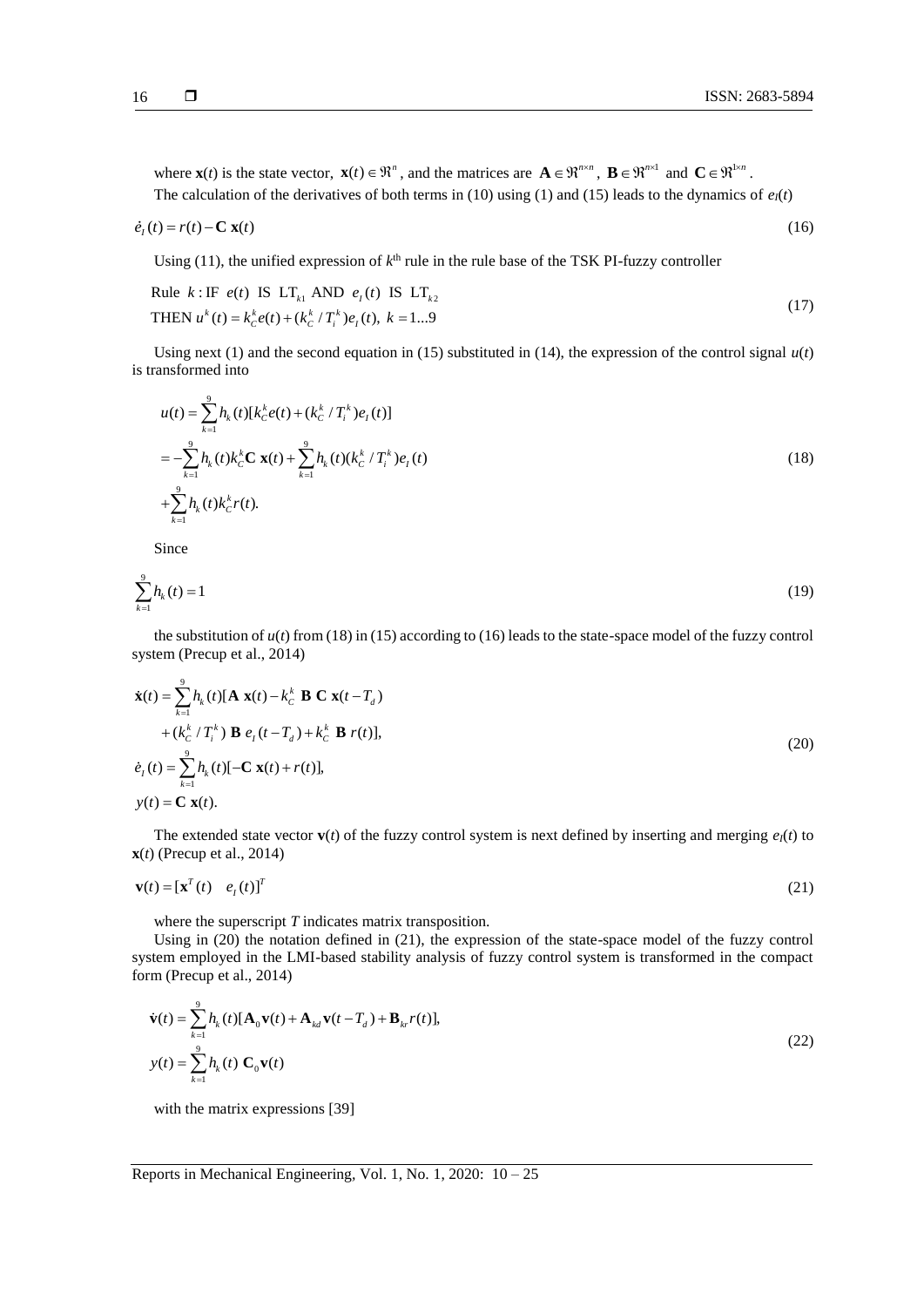where  $\mathbf{x}(t)$  is the state vector,  $\mathbf{x}(t) \in \mathbb{R}^n$ , and the matrices are  $\mathbf{A} \in \mathbb{R}^{n \times n}$ ,  $\mathbf{B} \in \mathbb{R}^{n \times 1}$  and  $\mathbf{C} \in \mathbb{R}^{1 \times n}$ . The calculation of the derivatives of both terms in (10) using (1) and (15) leads to the dynamics of  $e_I(t)$ 

$$
\dot{e}_t(t) = r(t) - \mathbf{C} \mathbf{x}(t) \tag{16}
$$

Using (11), the unified expression of  $k<sup>th</sup>$  rule in the rule base of the TSK PI-fuzzy controller

Rule 
$$
k: \text{IF } e(t) \text{ IS } LT_{k1} \text{ AND } e_1(t) \text{ IS } LT_{k2}
$$
  
THEN  $u^k(t) = k_c^k e(t) + (k_c^k / T_i^k) e_1(t), k = 1...9$  (17)

Using next (1) and the second equation in (15) substituted in (14), the expression of the control signal  $u(t)$ is transformed into

$$
u(t) = \sum_{k=1}^{9} h_k(t) [k_C^k e(t) + (k_C^k / T_i^k) e_t(t)]
$$
  
= 
$$
-\sum_{k=1}^{9} h_k(t) k_C^k \mathbf{C} \mathbf{x}(t) + \sum_{k=1}^{9} h_k(t) (k_C^k / T_i^k) e_t(t)
$$
  
+ 
$$
\sum_{k=1}^{9} h_k(t) k_C^k r(t).
$$
 (18)

Since

$$
\sum_{k=1}^{9} h_k(t) = 1 \tag{19}
$$

the substitution of  $u(t)$  from (18) in (15) according to (16) leads to the state-space model of the fuzzy control system (Precup et al., 2014)

$$
\dot{\mathbf{x}}(t) = \sum_{k=1}^{9} h_k(t) [\mathbf{A} \mathbf{x}(t) - k_C^k \mathbf{B} \mathbf{C} \mathbf{x}(t - T_d) \n+ (k_C^k / T_i^k) \mathbf{B} e_I(t - T_d) + k_C^k \mathbf{B} r(t)], \n\dot{e}_I(t) = \sum_{k=1}^{9} h_k(t) [-\mathbf{C} \mathbf{x}(t) + r(t)], \n\mathbf{y}(t) = \mathbf{C} \mathbf{x}(t).
$$
\n(20)

The extended state vector  $\mathbf{v}(t)$  of the fuzzy control system is next defined by inserting and merging  $e_l(t)$  to **x**(*t*) (Precup et al., 2014)

$$
\mathbf{v}(t) = [\mathbf{x}^T(t) \quad e_I(t)]^T
$$
 (21)

where the superscript *T* indicates matrix transposition.

Using in (20) the notation defined in (21), the expression of the state-space model of the fuzzy control system employed in the LMI-based stability analysis of fuzzy control system is transformed in the compact form (Precup et al., 2014)

$$
\dot{\mathbf{v}}(t) = \sum_{k=1}^{9} h_k(t) [\mathbf{A}_0 \mathbf{v}(t) + \mathbf{A}_{kd} \mathbf{v}(t - T_d) + \mathbf{B}_{kr} r(t)],
$$
\n
$$
y(t) = \sum_{k=1}^{9} h_k(t) \mathbf{C}_0 \mathbf{v}(t)
$$
\n(22)

with the matrix expressions [39]

Reports in Mechanical Engineering*,* Vol. 1, No. 1, 2020: 10 – 25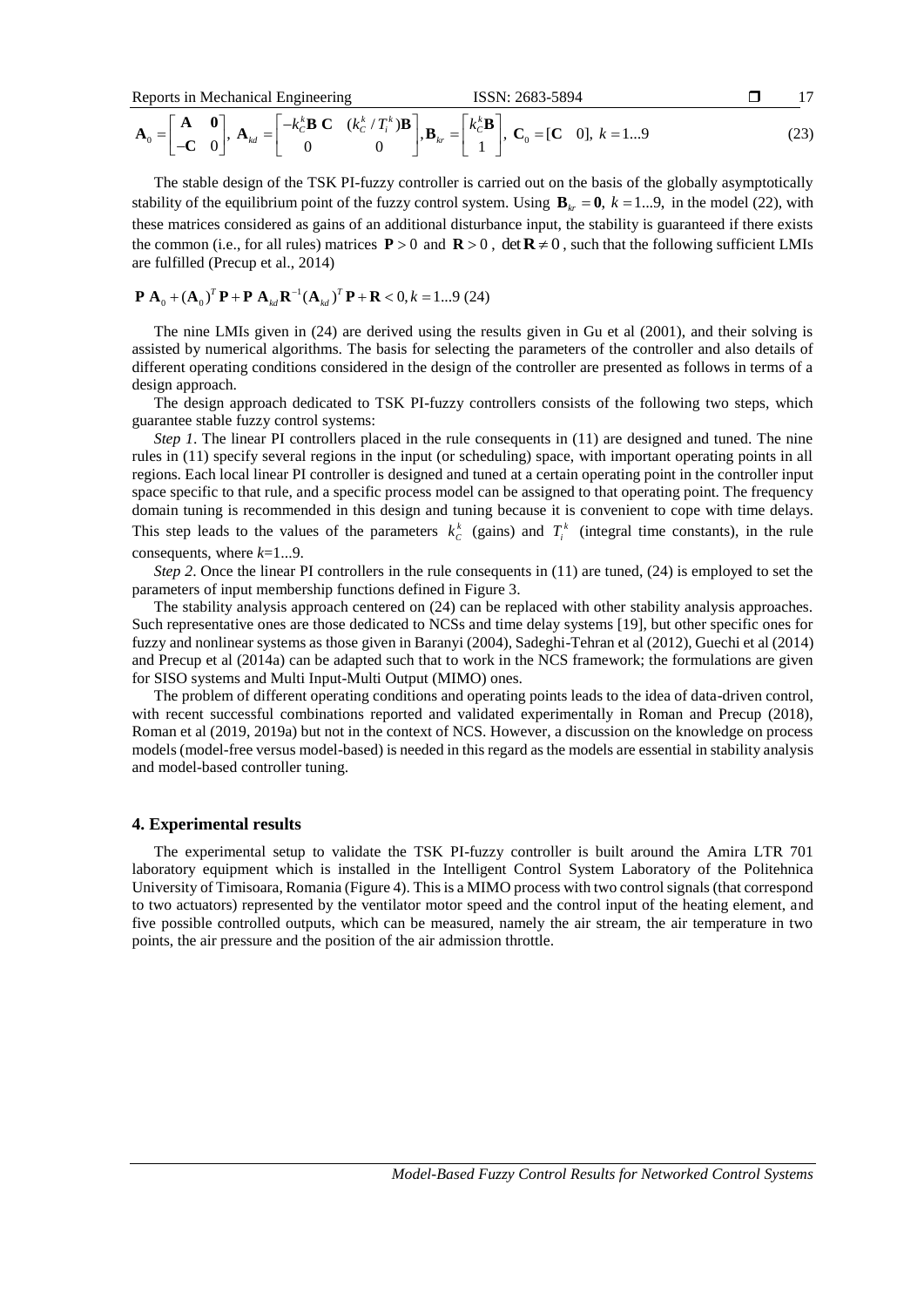$$
\text{Reports in Mechanical Engineering} \qquad \text{ISSN: } 2683-5894 \qquad \qquad \Box \qquad 17
$$
\n
$$
\mathbf{A}_0 = \begin{bmatrix} \mathbf{A} & \mathbf{0} \\ -\mathbf{C} & 0 \end{bmatrix}, \ \mathbf{A}_{kd} = \begin{bmatrix} -k_c^k \mathbf{B} & \mathbf{C} & (k_c^k / T_i^k) \mathbf{B} \\ 0 & 0 \end{bmatrix}, \ \mathbf{B}_{kr} = \begin{bmatrix} k_c^k \mathbf{B} \\ 1 \end{bmatrix}, \ \mathbf{C}_0 = [\mathbf{C} & 0], \ k = 1...9 \tag{23}
$$

The stable design of the TSK PI-fuzzy controller is carried out on the basis of the globally asymptotically stability of the equilibrium point of the fuzzy control system. Using  $\mathbf{B}_{kr} = \mathbf{0}$ ,  $k = 1...9$ , in the model (22), with these matrices considered as gains of an additional disturbance input, the stability is guaranteed if there exists the common (i.e., for all rules) matrices  $P > 0$  and  $R > 0$ , det  $R \neq 0$ , such that the following sufficient LMIs are fulfilled (Precup et al., 2014)

$$
\mathbf{P} \mathbf{A}_0 + (\mathbf{A}_0)^T \mathbf{P} + \mathbf{P} \mathbf{A}_{kd} \mathbf{R}^{-1} (\mathbf{A}_{kd})^T \mathbf{P} + \mathbf{R} < 0, k = 1...9 \text{ (24)}
$$

The nine LMIs given in (24) are derived using the results given in Gu et al (2001), and their solving is assisted by numerical algorithms. The basis for selecting the parameters of the controller and also details of different operating conditions considered in the design of the controller are presented as follows in terms of a design approach.

The design approach dedicated to TSK PI-fuzzy controllers consists of the following two steps, which guarantee stable fuzzy control systems:

*Step 1*. The linear PI controllers placed in the rule consequents in (11) are designed and tuned. The nine rules in (11) specify several regions in the input (or scheduling) space, with important operating points in all regions. Each local linear PI controller is designed and tuned at a certain operating point in the controller input space specific to that rule, and a specific process model can be assigned to that operating point. The frequency domain tuning is recommended in this design and tuning because it is convenient to cope with time delays. This step leads to the values of the parameters  $k_c^k$  (gains) and  $T_i^k$  (integral time constants), in the rule consequents, where *k*=1...9.

*Step 2*. Once the linear PI controllers in the rule consequents in (11) are tuned, (24) is employed to set the parameters of input membership functions defined in Figure 3.

The stability analysis approach centered on (24) can be replaced with other stability analysis approaches. Such representative ones are those dedicated to NCSs and time delay systems [19], but other specific ones for fuzzy and nonlinear systems as those given in Baranyi (2004), Sadeghi-Tehran et al (2012), Guechi et al (2014) and Precup et al (2014a) can be adapted such that to work in the NCS framework; the formulations are given for SISO systems and Multi Input-Multi Output (MIMO) ones.

The problem of different operating conditions and operating points leads to the idea of data-driven control, with recent successful combinations reported and validated experimentally in Roman and Precup (2018), Roman et al (2019, 2019a) but not in the context of NCS. However, a discussion on the knowledge on process models (model-free versus model-based) is needed in this regard as the models are essential in stability analysis and model-based controller tuning.

# **4. Experimental results**

The experimental setup to validate the TSK PI-fuzzy controller is built around the Amira LTR 701 laboratory equipment which is installed in the Intelligent Control System Laboratory of the Politehnica University of Timisoara, Romania (Figure 4). This is a MIMO process with two control signals (that correspond to two actuators) represented by the ventilator motor speed and the control input of the heating element, and five possible controlled outputs, which can be measured, namely the air stream, the air temperature in two points, the air pressure and the position of the air admission throttle.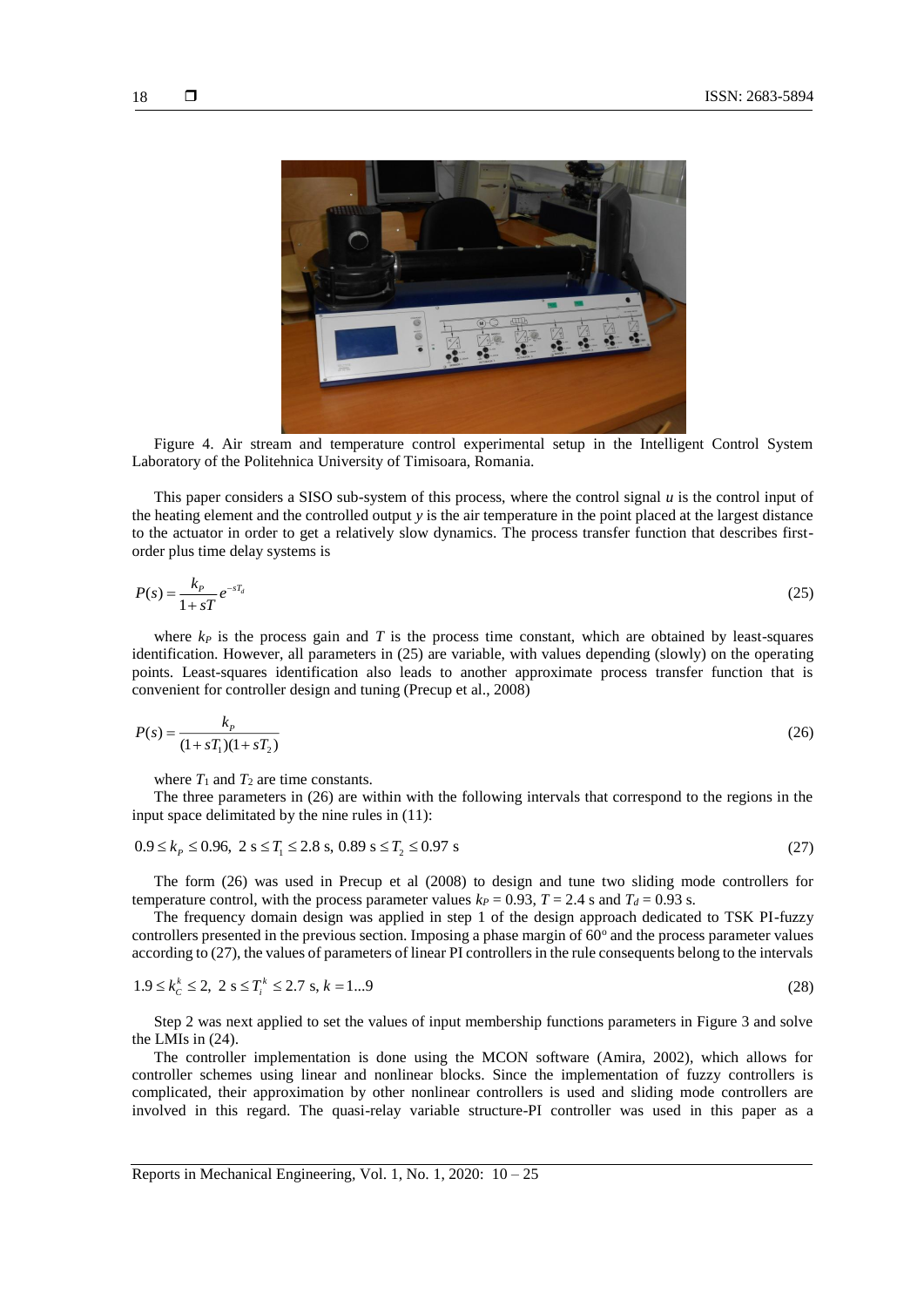18



Figure 4. Air stream and temperature control experimental setup in the Intelligent Control System Laboratory of the Politehnica University of Timisoara, Romania.

This paper considers a SISO sub-system of this process, where the control signal *u* is the control input of the heating element and the controlled output *y* is the air temperature in the point placed at the largest distance to the actuator in order to get a relatively slow dynamics. The process transfer function that describes firstorder plus time delay systems is

$$
P(s) = \frac{k_p}{1 + sT} e^{-sT_d}
$$
 (25)

where  $k_P$  is the process gain and  $T$  is the process time constant, which are obtained by least-squares identification. However, all parameters in (25) are variable, with values depending (slowly) on the operating points. Least-squares identification also leads to another approximate process transfer function that is convenient for controller design and tuning (Precup et al., 2008)

$$
P(s) = \frac{k_p}{(1 + sT_1)(1 + sT_2)}\tag{26}
$$

where  $T_1$  and  $T_2$  are time constants.

The three parameters in (26) are within with the following intervals that correspond to the regions in the

input space delimitated by the nine rules in (11):  
\n
$$
0.9 \le k_p \le 0.96, \ 2 \text{ s} \le T_1 \le 2.8 \text{ s}, \ 0.89 \text{ s} \le T_2 \le 0.97 \text{ s}
$$
\n(27)

The form (26) was used in Precup et al (2008) to design and tune two sliding mode controllers for temperature control, with the process parameter values  $k_P = 0.93$ ,  $T = 2.4$  s and  $T_d = 0.93$  s.

The frequency domain design was applied in step 1 of the design approach dedicated to TSK PI-fuzzy controllers presented in the previous section. Imposing a phase margin of  $60^{\circ}$  and the process parameter values according to (27), the values of parameters of linear PI controllers in the rule consequents belong to the intervals

$$
1.9 \le k_c^k \le 2, \ 2 \text{ s} \le T_i^k \le 2.7 \text{ s}, \ k = 1...9 \tag{28}
$$

Step 2 was next applied to set the values of input membership functions parameters in Figure 3 and solve the LMIs in (24).

The controller implementation is done using the MCON software (Amira, 2002), which allows for controller schemes using linear and nonlinear blocks. Since the implementation of fuzzy controllers is complicated, their approximation by other nonlinear controllers is used and sliding mode controllers are involved in this regard. The quasi-relay variable structure-PI controller was used in this paper as a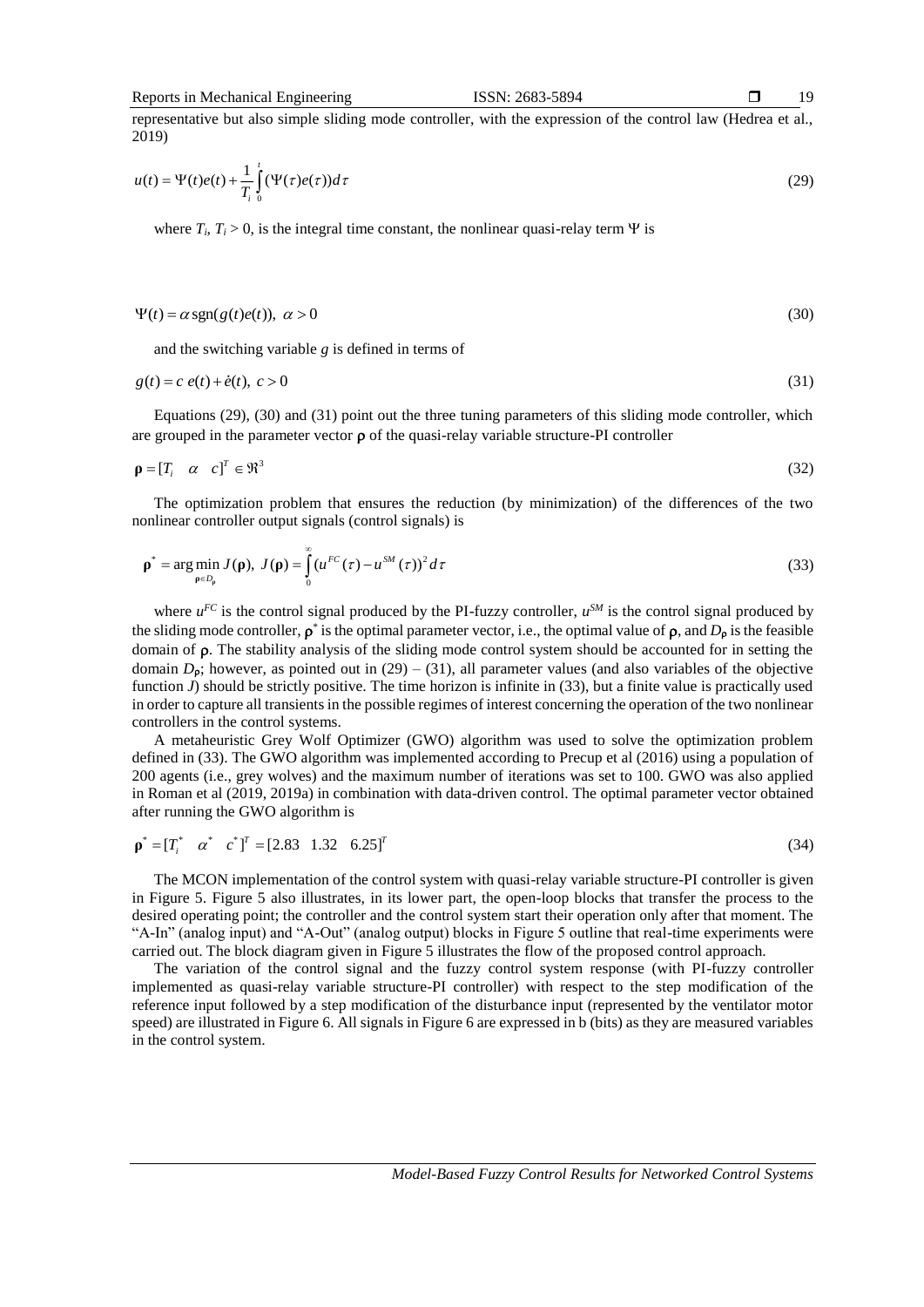representative but also simple sliding mode controller, with the expression of the control law (Hedrea et al., 2019)

$$
u(t) = \Psi(t)e(t) + \frac{1}{T_i} \int_0^t (\Psi(\tau)e(\tau))d\tau
$$
\n(29)

where  $T_i$ ,  $T_i > 0$ , is the integral time constant, the nonlinear quasi-relay term  $\Psi$  is

$$
\Psi(t) = \alpha \operatorname{sgn}(g(t)e(t)), \ \alpha > 0 \tag{30}
$$

and the switching variable *g* is defined in terms of

$$
g(t) = c e(t) + \dot{e}(t), \ c > 0
$$
\n(31)

Equations (29), (30) and (31) point out the three tuning parameters of this sliding mode controller, which are grouped in the parameter vector  $\rho$  of the quasi-relay variable structure-PI controller

$$
\mathbf{p} = [T_i \quad \alpha \quad c]^T \in \mathfrak{R}^3 \tag{32}
$$

The optimization problem that ensures the reduction (by minimization) of the differences of the two nonlinear controller output signals (control signals) is

$$
\rho^* = \underset{\rho \in D_{\rho}}{\arg \min} J(\rho), \ J(\rho) = \int_0^{\infty} (u^{FC}(\tau) - u^{SM}(\tau))^2 d\tau
$$
\n(33)

where  $u^{FC}$  is the control signal produced by the PI-fuzzy controller,  $u^{SM}$  is the control signal produced by the sliding mode controller,  $\rho^*$  is the optimal parameter vector, i.e., the optimal value of  $\rho$ , and  $D_\rho$  is the feasible domain of  $\rho$ . The stability analysis of the sliding mode control system should be accounted for in setting the domain  $D_{\rho}$ ; however, as pointed out in (29) – (31), all parameter values (and also variables of the objective function *J*) should be strictly positive. The time horizon is infinite in (33), but a finite value is practically used in order to capture all transients in the possible regimes of interest concerning the operation of the two nonlinear controllers in the control systems.

A metaheuristic Grey Wolf Optimizer (GWO) algorithm was used to solve the optimization problem defined in (33). The GWO algorithm was implemented according to Precup et al (2016) using a population of 200 agents (i.e., grey wolves) and the maximum number of iterations was set to 100. GWO was also applied in Roman et al (2019, 2019a) in combination with data-driven control. The optimal parameter vector obtained after running the GWO algorithm is

$$
\mathbf{p}^* = [T_i^* \quad \alpha^* \quad c^*]^T = [2.83 \quad 1.32 \quad 6.25]^T \tag{34}
$$

The MCON implementation of the control system with quasi-relay variable structure-PI controller is given in Figure 5. Figure 5 also illustrates, in its lower part, the open-loop blocks that transfer the process to the desired operating point; the controller and the control system start their operation only after that moment. The "A-In" (analog input) and "A-Out" (analog output) blocks in Figure 5 outline that real-time experiments were carried out. The block diagram given in Figure 5 illustrates the flow of the proposed control approach.

The variation of the control signal and the fuzzy control system response (with PI-fuzzy controller implemented as quasi-relay variable structure-PI controller) with respect to the step modification of the reference input followed by a step modification of the disturbance input (represented by the ventilator motor speed) are illustrated in Figure 6. All signals in Figure 6 are expressed in b (bits) as they are measured variables in the control system.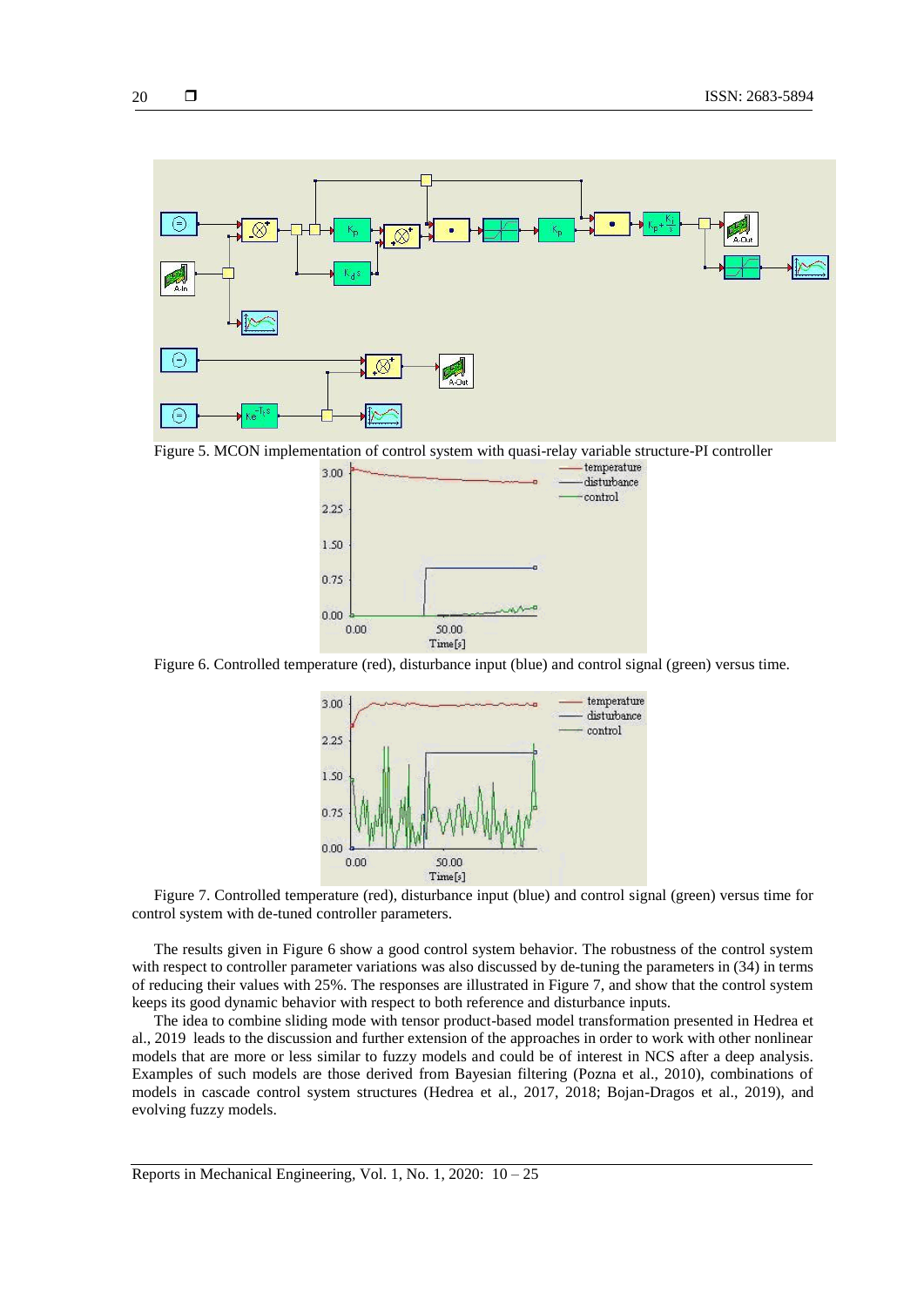

Figure 5. MCON implementation of control system with quasi-relay variable structure-PI controller



Figure 6. Controlled temperature (red), disturbance input (blue) and control signal (green) versus time.



Figure 7. Controlled temperature (red), disturbance input (blue) and control signal (green) versus time for control system with de-tuned controller parameters.

The results given in Figure 6 show a good control system behavior. The robustness of the control system with respect to controller parameter variations was also discussed by de-tuning the parameters in (34) in terms of reducing their values with 25%. The responses are illustrated in Figure 7, and show that the control system keeps its good dynamic behavior with respect to both reference and disturbance inputs.

The idea to combine sliding mode with tensor product-based model transformation presented in Hedrea et al., 2019 leads to the discussion and further extension of the approaches in order to work with other nonlinear models that are more or less similar to fuzzy models and could be of interest in NCS after a deep analysis. Examples of such models are those derived from Bayesian filtering (Pozna et al., 2010), combinations of models in cascade control system structures (Hedrea et al., 2017, 2018; Bojan-Dragos et al., 2019), and evolving fuzzy models.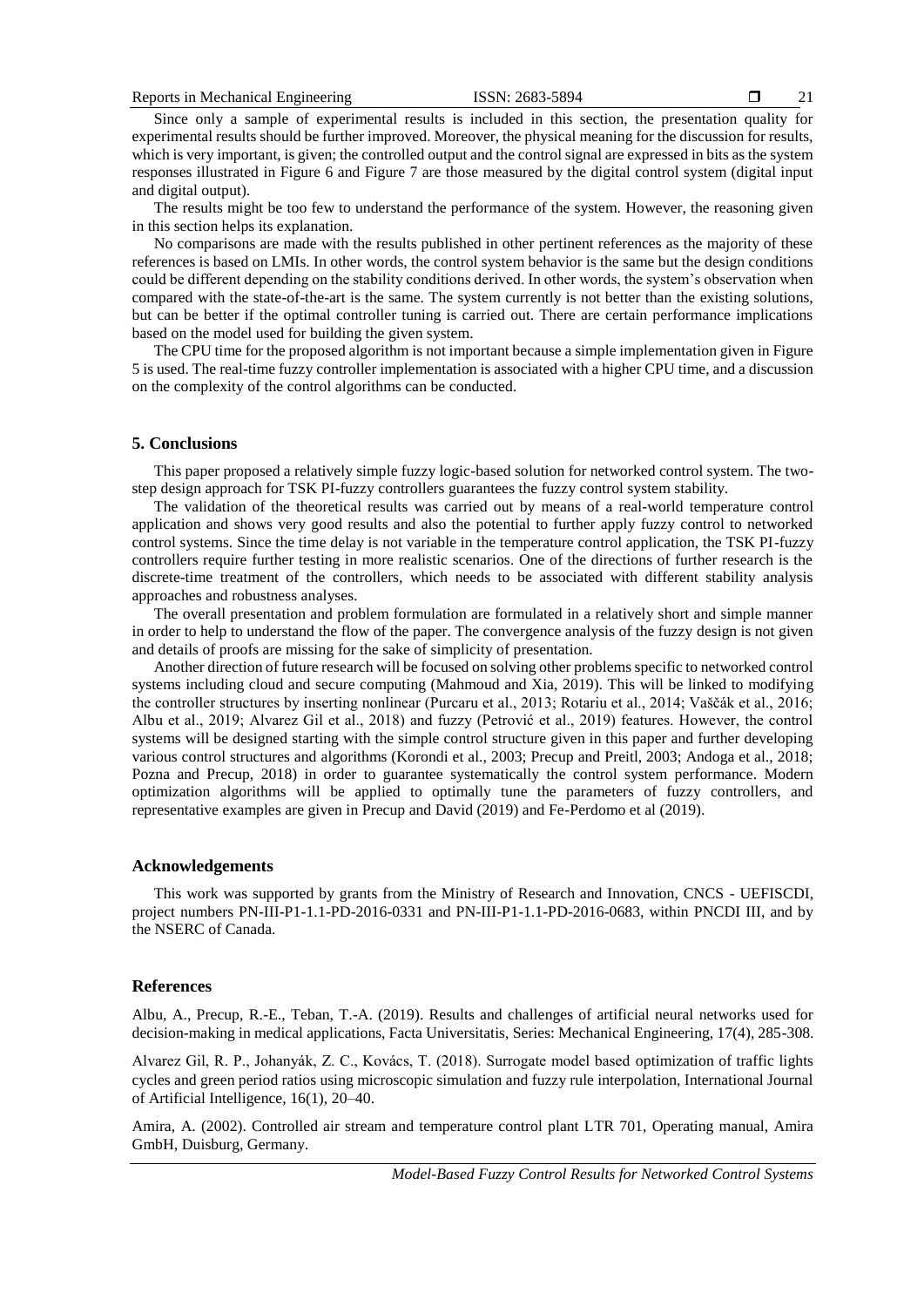21

Since only a sample of experimental results is included in this section, the presentation quality for experimental results should be further improved. Moreover, the physical meaning for the discussion for results, which is very important, is given; the controlled output and the control signal are expressed in bits as the system responses illustrated in Figure 6 and Figure 7 are those measured by the digital control system (digital input and digital output).

The results might be too few to understand the performance of the system. However, the reasoning given in this section helps its explanation.

No comparisons are made with the results published in other pertinent references as the majority of these references is based on LMIs. In other words, the control system behavior is the same but the design conditions could be different depending on the stability conditions derived. In other words, the system's observation when compared with the state-of-the-art is the same. The system currently is not better than the existing solutions, but can be better if the optimal controller tuning is carried out. There are certain performance implications based on the model used for building the given system.

The CPU time for the proposed algorithm is not important because a simple implementation given in Figure 5 is used. The real-time fuzzy controller implementation is associated with a higher CPU time, and a discussion on the complexity of the control algorithms can be conducted.

#### **5. Conclusions**

This paper proposed a relatively simple fuzzy logic-based solution for networked control system. The twostep design approach for TSK PI-fuzzy controllers guarantees the fuzzy control system stability.

The validation of the theoretical results was carried out by means of a real-world temperature control application and shows very good results and also the potential to further apply fuzzy control to networked control systems. Since the time delay is not variable in the temperature control application, the TSK PI-fuzzy controllers require further testing in more realistic scenarios. One of the directions of further research is the discrete-time treatment of the controllers, which needs to be associated with different stability analysis approaches and robustness analyses.

The overall presentation and problem formulation are formulated in a relatively short and simple manner in order to help to understand the flow of the paper. The convergence analysis of the fuzzy design is not given and details of proofs are missing for the sake of simplicity of presentation.

Another direction of future research will be focused on solving other problems specific to networked control systems including cloud and secure computing (Mahmoud and Xia, 2019). This will be linked to modifying the controller structures by inserting nonlinear (Purcaru et al., 2013; Rotariu et al., 2014; Vaščák et al., 2016; Albu et al., 2019; Alvarez Gil et al., 2018) and fuzzy (Petrović et al., 2019) features. However, the control systems will be designed starting with the simple control structure given in this paper and further developing various control structures and algorithms (Korondi et al., 2003; Precup and Preitl, 2003; Andoga et al., 2018; Pozna and Precup, 2018) in order to guarantee systematically the control system performance. Modern optimization algorithms will be applied to optimally tune the parameters of fuzzy controllers, and representative examples are given in Precup and David (2019) and Fe-Perdomo et al (2019).

#### **Acknowledgements**

This work was supported by grants from the Ministry of Research and Innovation, CNCS - UEFISCDI, project numbers PN-III-P1-1.1-PD-2016-0331 and PN-III-P1-1.1-PD-2016-0683, within PNCDI III, and by the NSERC of Canada.

## **References**

Albu, A., Precup, R.-E., Teban, T.-A. (2019). Results and challenges of artificial neural networks used for decision-making in medical applications, Facta Universitatis, Series: Mechanical Engineering, 17(4), 285-308.

Alvarez Gil, R. P., Johanyák, Z. C., Kovács, T. (2018). Surrogate model based optimization of traffic lights cycles and green period ratios using microscopic simulation and fuzzy rule interpolation, International Journal of Artificial Intelligence, 16(1), 20–40.

Amira, A. (2002). Controlled air stream and temperature control plant LTR 701, Operating manual, Amira GmbH, Duisburg, Germany.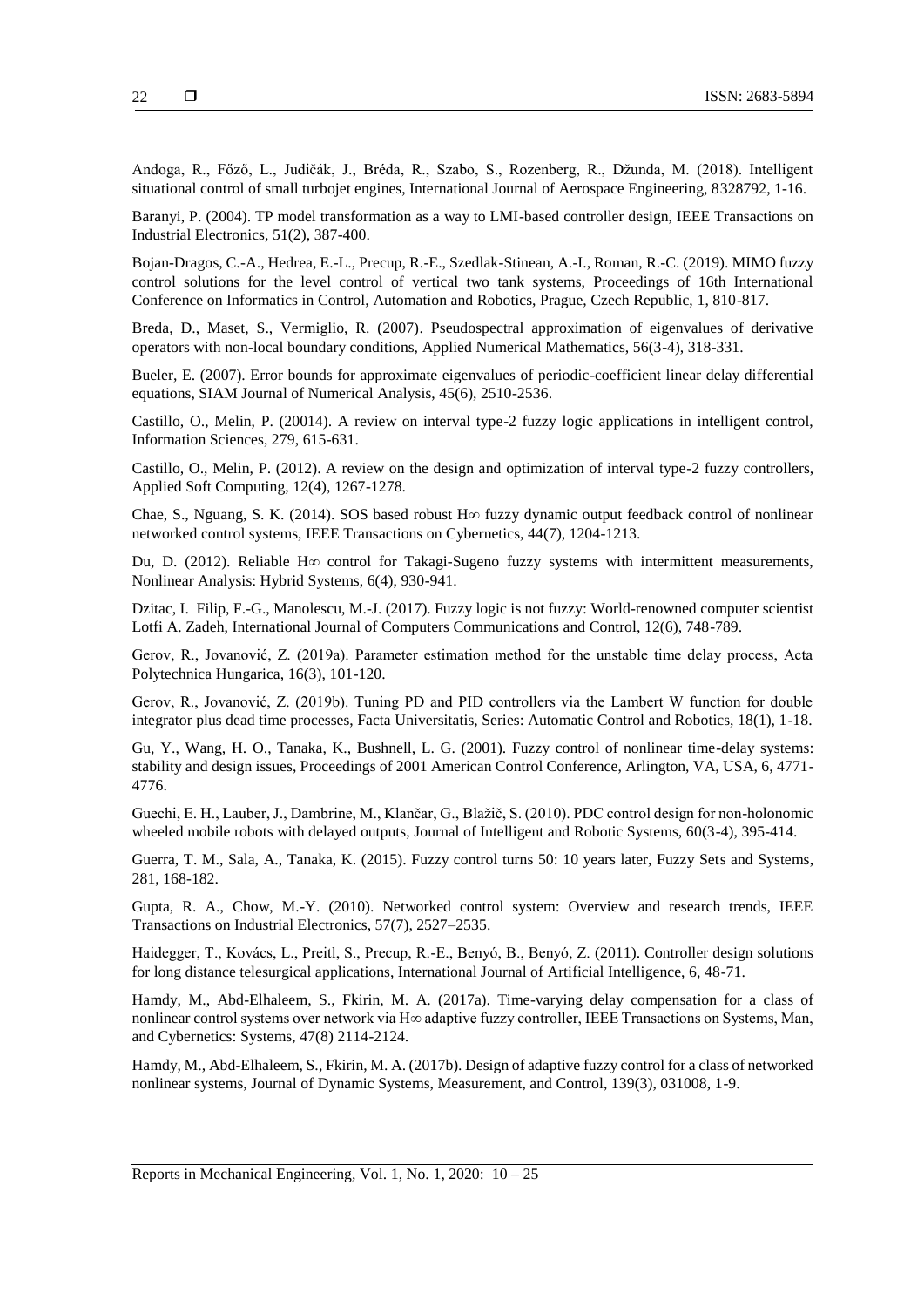Andoga, R., Főző, L., Judičák, J., Bréda, R., Szabo, S., Rozenberg, R., Džunda, M. (2018). Intelligent situational control of small turbojet engines, International Journal of Aerospace Engineering, 8328792, 1-16.

Baranyi, P. (2004). TP model transformation as a way to LMI-based controller design, IEEE Transactions on Industrial Electronics, 51(2), 387-400.

Bojan-Dragos, C.-A., Hedrea, E.-L., Precup, R.-E., Szedlak-Stinean, A.-I., Roman, R.-C. (2019). MIMO fuzzy control solutions for the level control of vertical two tank systems, Proceedings of 16th International Conference on Informatics in Control, Automation and Robotics, Prague, Czech Republic, 1, 810-817.

Breda, D., Maset, S., Vermiglio, R. (2007). Pseudospectral approximation of eigenvalues of derivative operators with non-local boundary conditions, Applied Numerical Mathematics, 56(3-4), 318-331.

Bueler, E. (2007). Error bounds for approximate eigenvalues of periodic-coefficient linear delay differential equations, SIAM Journal of Numerical Analysis, 45(6), 2510-2536.

Castillo, O., Melin, P. (20014). A review on interval type-2 fuzzy logic applications in intelligent control, Information Sciences, 279, 615-631.

Castillo, O., Melin, P. (2012). A review on the design and optimization of interval type-2 fuzzy controllers, Applied Soft Computing, 12(4), 1267-1278.

Chae, S., Nguang, S. K. (2014). SOS based robust  $H\infty$  fuzzy dynamic output feedback control of nonlinear networked control systems, IEEE Transactions on Cybernetics, 44(7), 1204-1213.

Du, D. (2012). Reliable H $\infty$  control for Takagi-Sugeno fuzzy systems with intermittent measurements, Nonlinear Analysis: Hybrid Systems, 6(4), 930-941.

Dzitac, I. Filip, F.-G., Manolescu, M.-J. (2017). Fuzzy logic is not fuzzy: World-renowned computer scientist Lotfi A. Zadeh, International Journal of Computers Communications and Control, 12(6), 748-789.

Gerov, R., Jovanović, Z. (2019a). Parameter estimation method for the unstable time delay process, Acta Polytechnica Hungarica, 16(3), 101-120.

Gerov, R., Jovanović, Z. (2019b). Tuning PD and PID controllers via the Lambert W function for double integrator plus dead time processes, Facta Universitatis, Series: Automatic Control and Robotics, 18(1), 1-18.

Gu, Y., Wang, H. O., Tanaka, K., Bushnell, L. G. (2001). Fuzzy control of nonlinear time-delay systems: stability and design issues, Proceedings of 2001 American Control Conference, Arlington, VA, USA, 6, 4771- 4776.

Guechi, E. H., Lauber, J., Dambrine, M., Klančar, G., Blažič, S. (2010). PDC control design for non-holonomic wheeled mobile robots with delayed outputs, Journal of Intelligent and Robotic Systems, 60(3-4), 395-414.

Guerra, T. M., Sala, A., Tanaka, K. (2015). Fuzzy control turns 50: 10 years later, Fuzzy Sets and Systems, 281, 168-182.

Gupta, R. A., Chow, M.-Y. (2010). Networked control system: Overview and research trends, IEEE Transactions on Industrial Electronics, 57(7), 2527–2535.

Haidegger, T., Kovács, L., Preitl, S., Precup, R.-E., Benyó, B., Benyó, Z. (2011). Controller design solutions for long distance telesurgical applications, International Journal of Artificial Intelligence, 6, 48-71.

Hamdy, M., Abd-Elhaleem, S., Fkirin, M. A. (2017a). Time-varying delay compensation for a class of nonlinear control systems over network via H∞ adaptive fuzzy controller, IEEE Transactions on Systems, Man, and Cybernetics: Systems, 47(8) 2114-2124.

Hamdy, M., Abd-Elhaleem, S., Fkirin, M. A. (2017b). Design of adaptive fuzzy control for a class of networked nonlinear systems, Journal of Dynamic Systems, Measurement, and Control, 139(3), 031008, 1-9.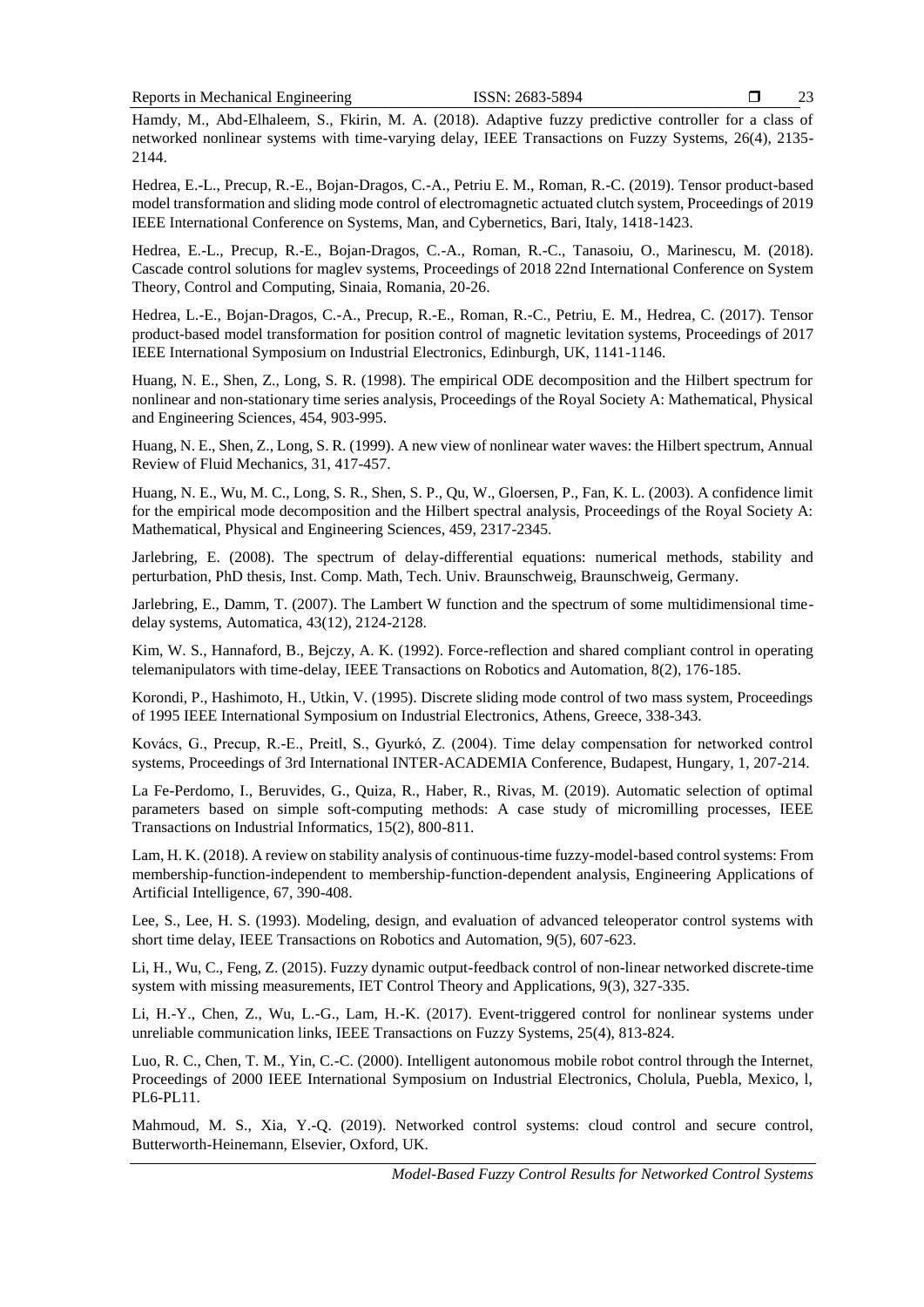23

Hamdy, M., Abd-Elhaleem, S., Fkirin, M. A. (2018). Adaptive fuzzy predictive controller for a class of networked nonlinear systems with time-varying delay, IEEE Transactions on Fuzzy Systems, 26(4), 2135- 2144.

Hedrea, E.-L., Precup, R.-E., Bojan-Dragos, C.-A., Petriu E. M., Roman, R.-C. (2019). Tensor product-based model transformation and sliding mode control of electromagnetic actuated clutch system, Proceedings of 2019 IEEE International Conference on Systems, Man, and Cybernetics, Bari, Italy, 1418-1423.

Hedrea, E.-L., Precup, R.-E., Bojan-Dragos, C.-A., Roman, R.-C., Tanasoiu, O., Marinescu, M. (2018). Cascade control solutions for maglev systems, Proceedings of 2018 22nd International Conference on System Theory, Control and Computing, Sinaia, Romania, 20-26.

Hedrea, L.-E., Bojan-Dragos, C.-A., Precup, R.-E., Roman, R.-C., Petriu, E. M., Hedrea, C. (2017). Tensor product-based model transformation for position control of magnetic levitation systems, Proceedings of 2017 IEEE International Symposium on Industrial Electronics, Edinburgh, UK, 1141-1146.

Huang, N. E., Shen, Z., Long, S. R. (1998). The empirical ODE decomposition and the Hilbert spectrum for nonlinear and non-stationary time series analysis, Proceedings of the Royal Society A: Mathematical, Physical and Engineering Sciences, 454, 903-995.

Huang, N. E., Shen, Z., Long, S. R. (1999). A new view of nonlinear water waves: the Hilbert spectrum, Annual Review of Fluid Mechanics, 31, 417-457.

Huang, N. E., Wu, M. C., Long, S. R., Shen, S. P., Qu, W., Gloersen, P., Fan, K. L. (2003). A confidence limit for the empirical mode decomposition and the Hilbert spectral analysis, Proceedings of the Royal Society A: Mathematical, Physical and Engineering Sciences, 459, 2317-2345.

Jarlebring, E. (2008). The spectrum of delay-differential equations: numerical methods, stability and perturbation, PhD thesis, Inst. Comp. Math, Tech. Univ. Braunschweig, Braunschweig, Germany.

Jarlebring, E., Damm, T. (2007). The Lambert W function and the spectrum of some multidimensional timedelay systems, Automatica, 43(12), 2124-2128.

Kim, W. S., Hannaford, B., Bejczy, A. K. (1992). Force-reflection and shared compliant control in operating telemanipulators with time-delay, IEEE Transactions on Robotics and Automation, 8(2), 176-185.

Korondi, P., Hashimoto, H., Utkin, V. (1995). Discrete sliding mode control of two mass system, Proceedings of 1995 IEEE International Symposium on Industrial Electronics, Athens, Greece, 338-343.

Kovács, G., Precup, R.-E., Preitl, S., Gyurkó, Z. (2004). Time delay compensation for networked control systems, Proceedings of 3rd International INTER-ACADEMIA Conference, Budapest, Hungary, 1, 207-214.

La Fe-Perdomo, I., Beruvides, G., Quiza, R., Haber, R., Rivas, M. (2019). Automatic selection of optimal parameters based on simple soft-computing methods: A case study of micromilling processes, IEEE Transactions on Industrial Informatics, 15(2), 800-811.

Lam, H. K. (2018). A review on stability analysis of continuous-time fuzzy-model-based control systems: From membership-function-independent to membership-function-dependent analysis, Engineering Applications of Artificial Intelligence, 67, 390-408.

Lee, S., Lee, H. S. (1993). Modeling, design, and evaluation of advanced teleoperator control systems with short time delay, IEEE Transactions on Robotics and Automation, 9(5), 607-623.

Li, H., Wu, C., Feng, Z. (2015). Fuzzy dynamic output-feedback control of non-linear networked discrete-time system with missing measurements, IET Control Theory and Applications, 9(3), 327-335.

Li, H.-Y., Chen, Z., Wu, L.-G., Lam, H.-K. (2017). Event-triggered control for nonlinear systems under unreliable communication links, IEEE Transactions on Fuzzy Systems, 25(4), 813-824.

Luo, R. C., Chen, T. M., Yin, C.-C. (2000). Intelligent autonomous mobile robot control through the Internet, Proceedings of 2000 IEEE International Symposium on Industrial Electronics, Cholula, Puebla, Mexico, l, PL6-PL11.

Mahmoud, M. S., Xia, Y.-Q. (2019). Networked control systems: cloud control and secure control, Butterworth-Heinemann, Elsevier, Oxford, UK.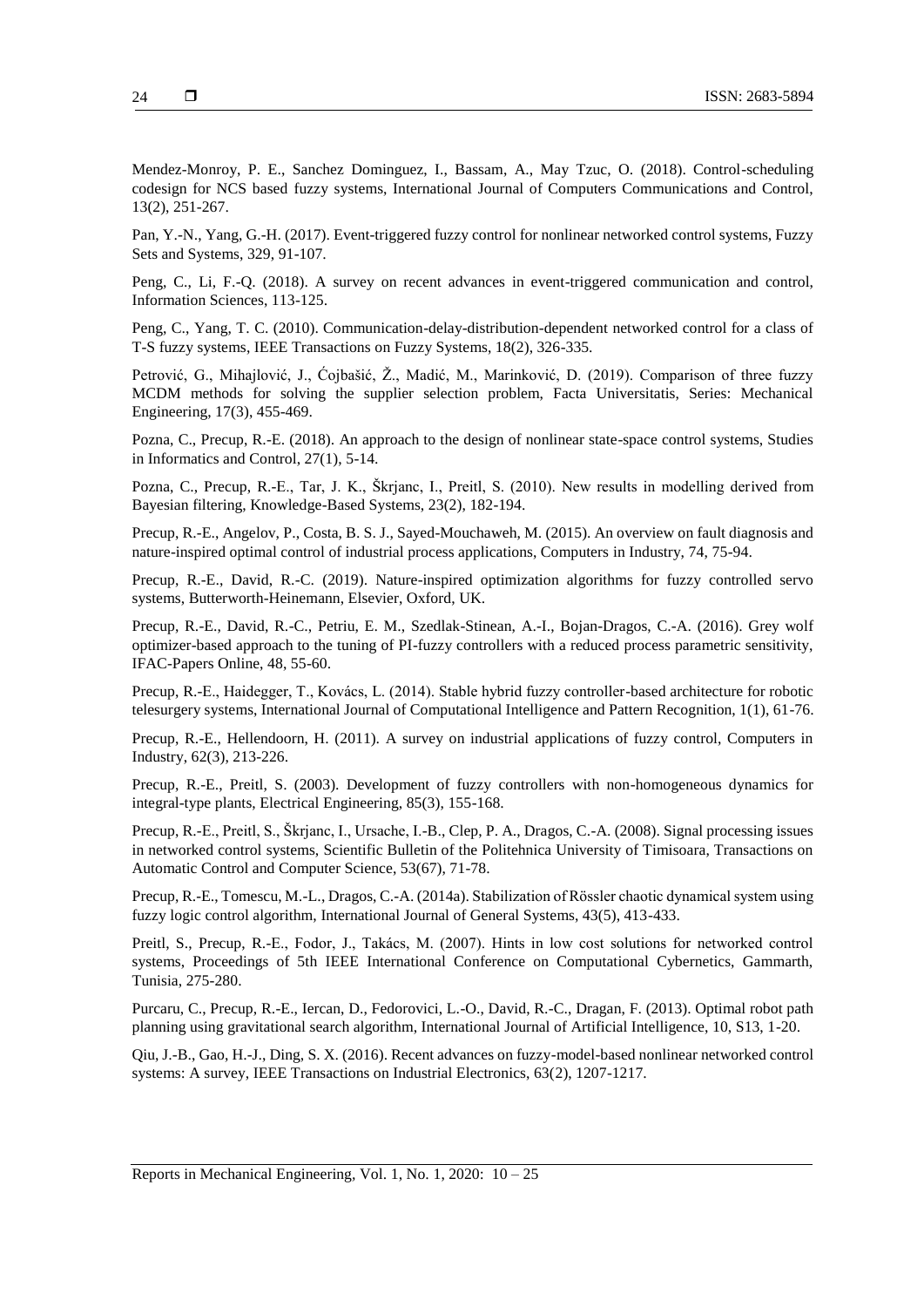Mendez-Monroy, P. E., Sanchez Dominguez, I., Bassam, A., May Tzuc, O. (2018). Control-scheduling codesign for NCS based fuzzy systems, International Journal of Computers Communications and Control, 13(2), 251-267.

Pan, Y.-N., Yang, G.-H. (2017). Event-triggered fuzzy control for nonlinear networked control systems, Fuzzy Sets and Systems, 329, 91-107.

Peng, C., Li, F.-Q. (2018). A survey on recent advances in event-triggered communication and control, Information Sciences, 113-125.

Peng, C., Yang, T. C. (2010). Communication-delay-distribution-dependent networked control for a class of T-S fuzzy systems, IEEE Transactions on Fuzzy Systems, 18(2), 326-335.

Petrović, G., Mihajlović, J., Ćojbašić, Ž., Madić, M., Marinković, D. (2019). Comparison of three fuzzy MCDM methods for solving the supplier selection problem, Facta Universitatis, Series: Mechanical Engineering, 17(3), 455-469.

Pozna, C., Precup, R.-E. (2018). An approach to the design of nonlinear state-space control systems, Studies in Informatics and Control, 27(1), 5-14.

Pozna, C., Precup, R.-E., Tar, J. K., Škrjanc, I., Preitl, S. (2010). New results in modelling derived from Bayesian filtering, Knowledge-Based Systems, 23(2), 182-194.

Precup, R.-E., Angelov, P., Costa, B. S. J., Sayed-Mouchaweh, M. (2015). An overview on fault diagnosis and nature-inspired optimal control of industrial process applications, Computers in Industry, 74, 75-94.

Precup, R.-E., David, R.-C. (2019). Nature-inspired optimization algorithms for fuzzy controlled servo systems, Butterworth-Heinemann, Elsevier, Oxford, UK.

Precup, R.-E., David, R.-C., Petriu, E. M., Szedlak-Stinean, A.-I., Bojan-Dragos, C.-A. (2016). Grey wolf optimizer-based approach to the tuning of PI-fuzzy controllers with a reduced process parametric sensitivity, IFAC-Papers Online, 48, 55-60.

Precup, R.-E., Haidegger, T., Kovács, L. (2014). Stable hybrid fuzzy controller-based architecture for robotic telesurgery systems, International Journal of Computational Intelligence and Pattern Recognition, 1(1), 61-76.

Precup, R.-E., Hellendoorn, H. (2011). A survey on industrial applications of fuzzy control, Computers in Industry, 62(3), 213-226.

Precup, R.-E., Preitl, S. (2003). Development of fuzzy controllers with non-homogeneous dynamics for integral-type plants, Electrical Engineering, 85(3), 155-168.

Precup, R.-E., Preitl, S., Škrjanc, I., Ursache, I.-B., Clep, P. A., Dragos, C.-A. (2008). Signal processing issues in networked control systems, Scientific Bulletin of the Politehnica University of Timisoara, Transactions on Automatic Control and Computer Science, 53(67), 71-78.

Precup, R.-E., Tomescu, M.-L., Dragos, C.-A. (2014a). Stabilization of Rössler chaotic dynamical system using fuzzy logic control algorithm, International Journal of General Systems, 43(5), 413-433.

Preitl, S., Precup, R.-E., Fodor, J., Takács, M. (2007). Hints in low cost solutions for networked control systems, Proceedings of 5th IEEE International Conference on Computational Cybernetics, Gammarth, Tunisia, 275-280.

Purcaru, C., Precup, R.-E., Iercan, D., Fedorovici, L.-O., David, R.-C., Dragan, F. (2013). Optimal robot path planning using gravitational search algorithm, International Journal of Artificial Intelligence, 10, S13, 1-20.

Qiu, J.-B., Gao, H.-J., Ding, S. X. (2016). Recent advances on fuzzy-model-based nonlinear networked control systems: A survey, IEEE Transactions on Industrial Electronics, 63(2), 1207-1217.